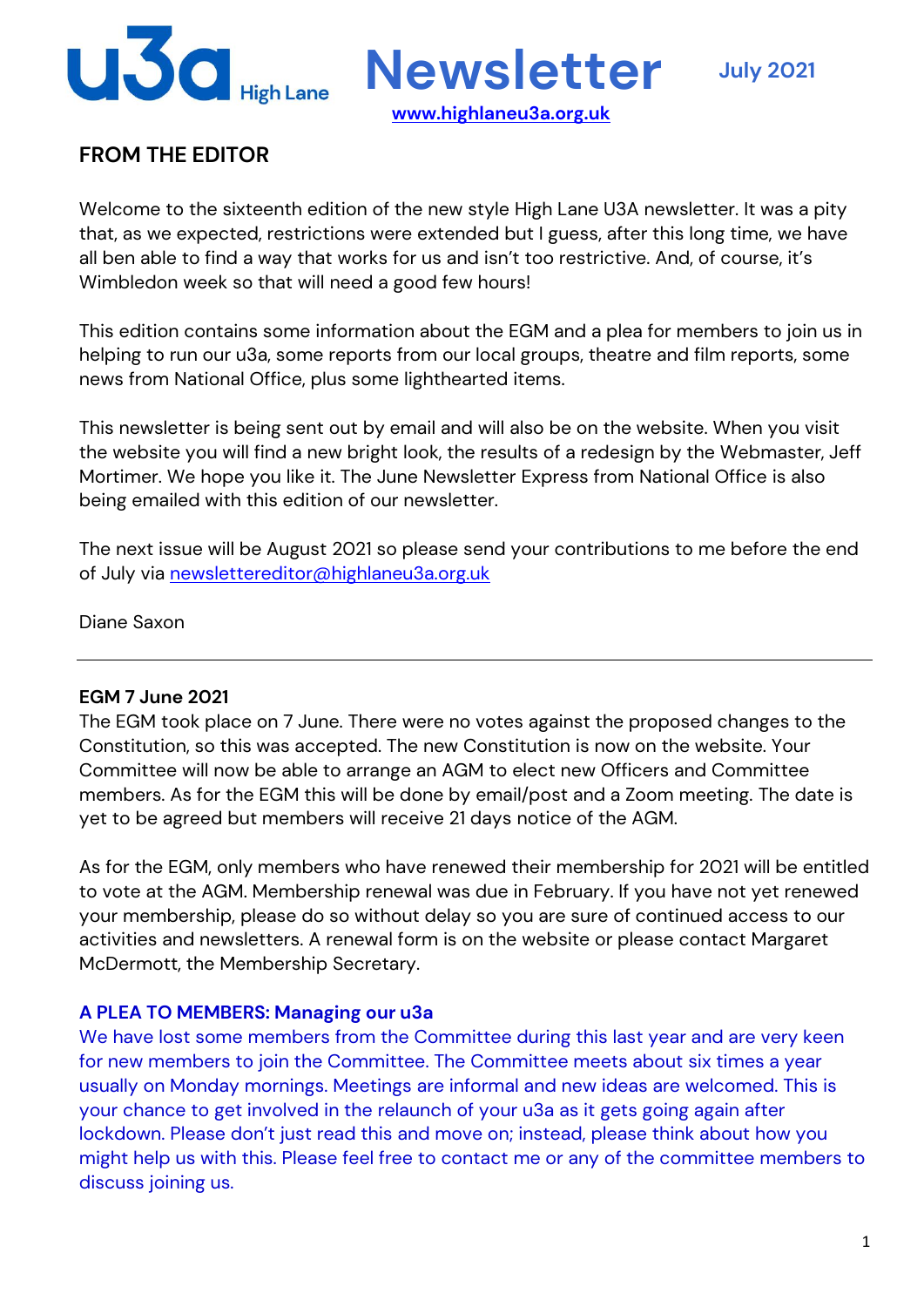

# **FROM THE EDITOR**

Welcome to the sixteenth edition of the new style High Lane U3A newsletter. It was a pity that, as we expected, restrictions were extended but I guess, after this long time, we have all ben able to find a way that works for us and isn't too restrictive. And, of course, it's Wimbledon week so that will need a good few hours!

This edition contains some information about the EGM and a plea for members to join us in helping to run our u3a, some reports from our local groups, theatre and film reports, some news from National Office, plus some lighthearted items.

This newsletter is being sent out by email and will also be on the website. When you visit the website you will find a new bright look, the results of a redesign by the Webmaster, Jeff Mortimer. We hope you like it. The June Newsletter Express from National Office is also being emailed with this edition of our newsletter.

The next issue will be August 2021 so please send your contributions to me before the end of July via newslettereditor@highlaneu3a.org.uk

Diane Saxon

#### **EGM 7 June 2021**

The EGM took place on 7 June. There were no votes against the proposed changes to the Constitution, so this was accepted. The new Constitution is now on the website. Your Committee will now be able to arrange an AGM to elect new Officers and Committee members. As for the EGM this will be done by email/post and a Zoom meeting. The date is yet to be agreed but members will receive 21 days notice of the AGM.

As for the EGM, only members who have renewed their membership for 2021 will be entitled to vote at the AGM. Membership renewal was due in February. If you have not yet renewed your membership, please do so without delay so you are sure of continued access to our activities and newsletters. A renewal form is on the website or please contact Margaret McDermott, the Membership Secretary.

#### **A PLEA TO MEMBERS: Managing our u3a**

We have lost some members from the Committee during this last year and are very keen for new members to join the Committee. The Committee meets about six times a year usually on Monday mornings. Meetings are informal and new ideas are welcomed. This is your chance to get involved in the relaunch of your u3a as it gets going again after lockdown. Please don't just read this and move on; instead, please think about how you might help us with this. Please feel free to contact me or any of the committee members to discuss joining us.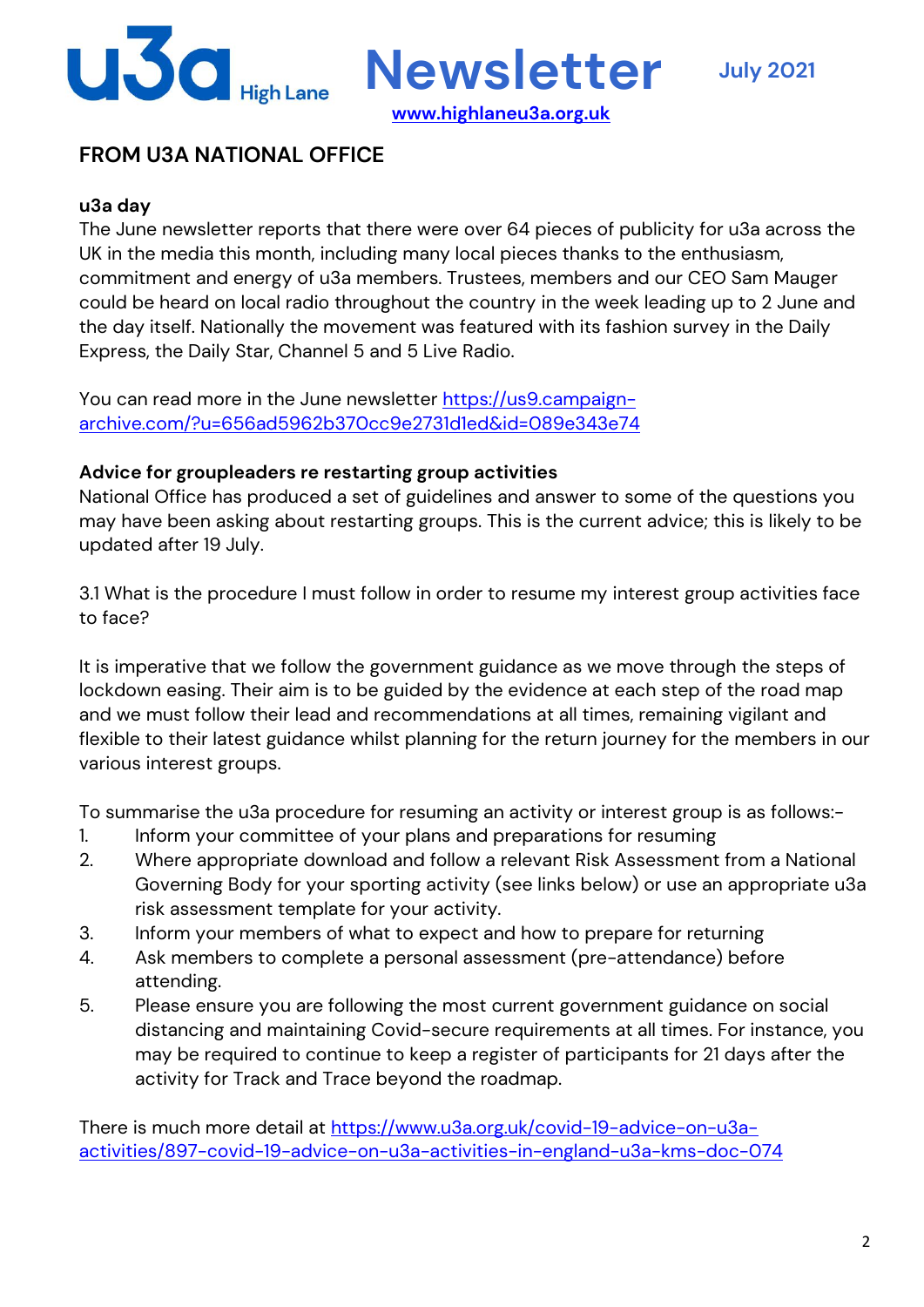

**www.highlaneu3a.org.uk**

## **FROM U3A NATIONAL OFFICE**

### **u3a day**

The June newsletter reports that there were over 64 pieces of publicity for u3a across the UK in the media this month, including many local pieces thanks to the enthusiasm, commitment and energy of u3a members. Trustees, members and our CEO Sam Mauger could be heard on local radio throughout the country in the week leading up to 2 June and the day itself. Nationally the movement was featured with its fashion survey in the Daily Express, the Daily Star, Channel 5 and 5 Live Radio.

You can read more in the June newsletter https://us9.campaignarchive.com/?u=656ad5962b370cc9e2731d1ed&id=089e343e74

### **Advice for groupleaders re restarting group activities**

National Office has produced a set of guidelines and answer to some of the questions you may have been asking about restarting groups. This is the current advice; this is likely to be updated after 19 July.

3.1 What is the procedure I must follow in order to resume my interest group activities face to face?

It is imperative that we follow the government guidance as we move through the steps of lockdown easing. Their aim is to be guided by the evidence at each step of the road map and we must follow their lead and recommendations at all times, remaining vigilant and flexible to their latest guidance whilst planning for the return journey for the members in our various interest groups.

To summarise the u3a procedure for resuming an activity or interest group is as follows:-

- 1. Inform your committee of your plans and preparations for resuming
- 2. Where appropriate download and follow a relevant Risk Assessment from a National Governing Body for your sporting activity (see links below) or use an appropriate u3a risk assessment template for your activity.
- 3. Inform your members of what to expect and how to prepare for returning
- 4. Ask members to complete a personal assessment (pre-attendance) before attending.
- 5. Please ensure you are following the most current government guidance on social distancing and maintaining Covid-secure requirements at all times. For instance, you may be required to continue to keep a register of participants for 21 days after the activity for Track and Trace beyond the roadmap.

There is much more detail at https://www.u3a.org.uk/covid-19-advice-on-u3aactivities/897-covid-19-advice-on-u3a-activities-in-england-u3a-kms-doc-074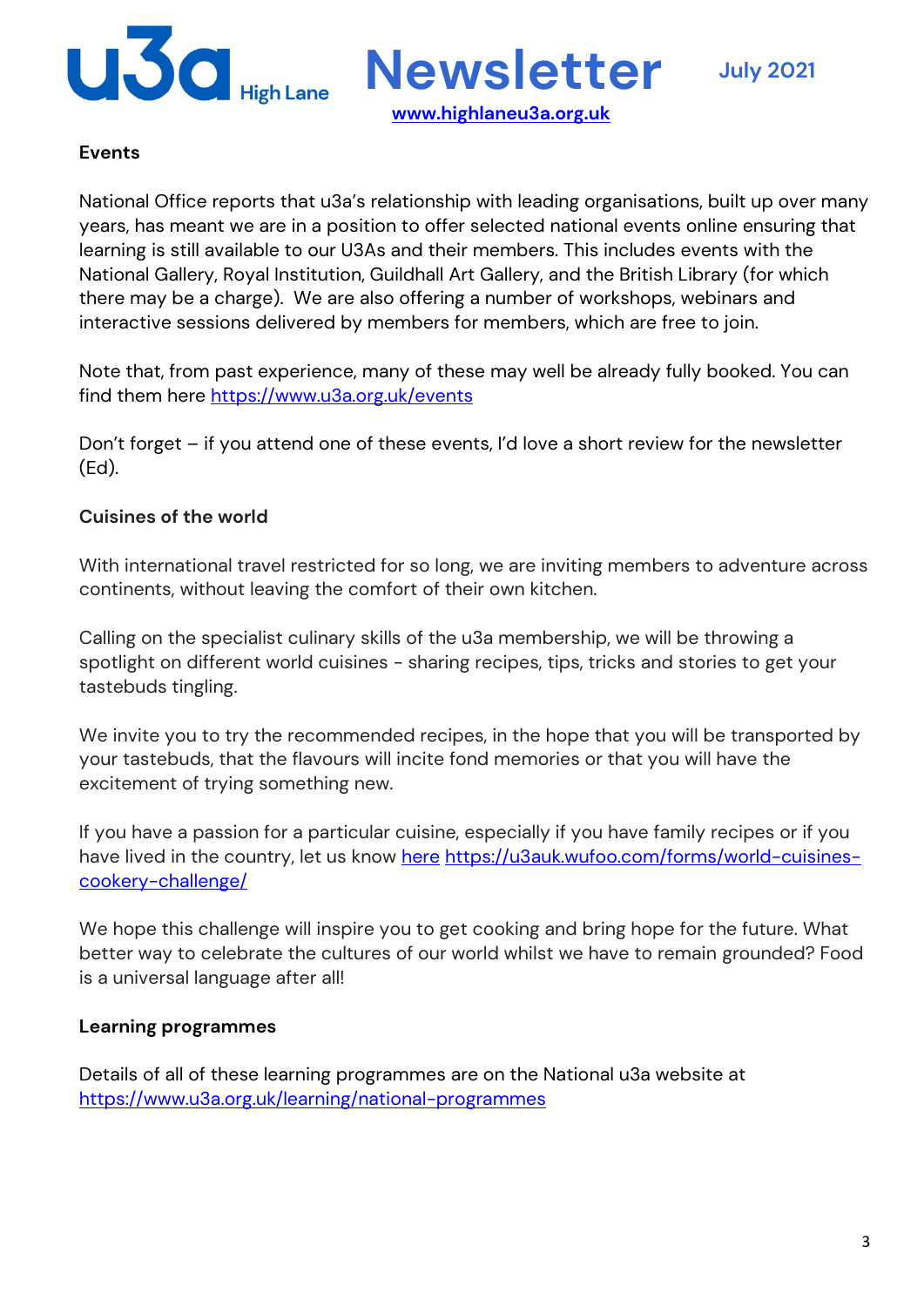

### **Events**

National Office reports that u3a's relationship with leading organisations, built up over many years, has meant we are in a position to offer selected national events online ensuring that learning is still available to our U3As and their members. This includes events with the National Gallery, Royal Institution, Guildhall Art Gallery, and the British Library (for which there may be a charge). We are also offering a number of workshops, webinars and interactive sessions delivered by members for members, which are free to join.

**www.highlaneu3a.org.uk**

Note that, from past experience, many of these may well be already fully booked. You can find them here https://www.u3a.org.uk/events

Don't forget – if you attend one of these events, I'd love a short review for the newsletter (Ed).

### **Cuisines of the world**

With international travel restricted for so long, we are inviting members to adventure across continents, without leaving the comfort of their own kitchen.

Calling on the specialist culinary skills of the u3a membership, we will be throwing a spotlight on different world cuisines - sharing recipes, tips, tricks and stories to get your tastebuds tingling.

We invite you to try the recommended recipes, in the hope that you will be transported by your tastebuds, that the flavours will incite fond memories or that you will have the excitement of trying something new.

If you have a passion for a particular cuisine, especially if you have family recipes or if you have lived in the country, let us know here https://u3auk.wufoo.com/forms/world-cuisinescookery-challenge/

We hope this challenge will inspire you to get cooking and bring hope for the future. What better way to celebrate the cultures of our world whilst we have to remain grounded? Food is a universal language after all!

### **Learning programmes**

Details of all of these learning programmes are on the National u3a website at https://www.u3a.org.uk/learning/national-programmes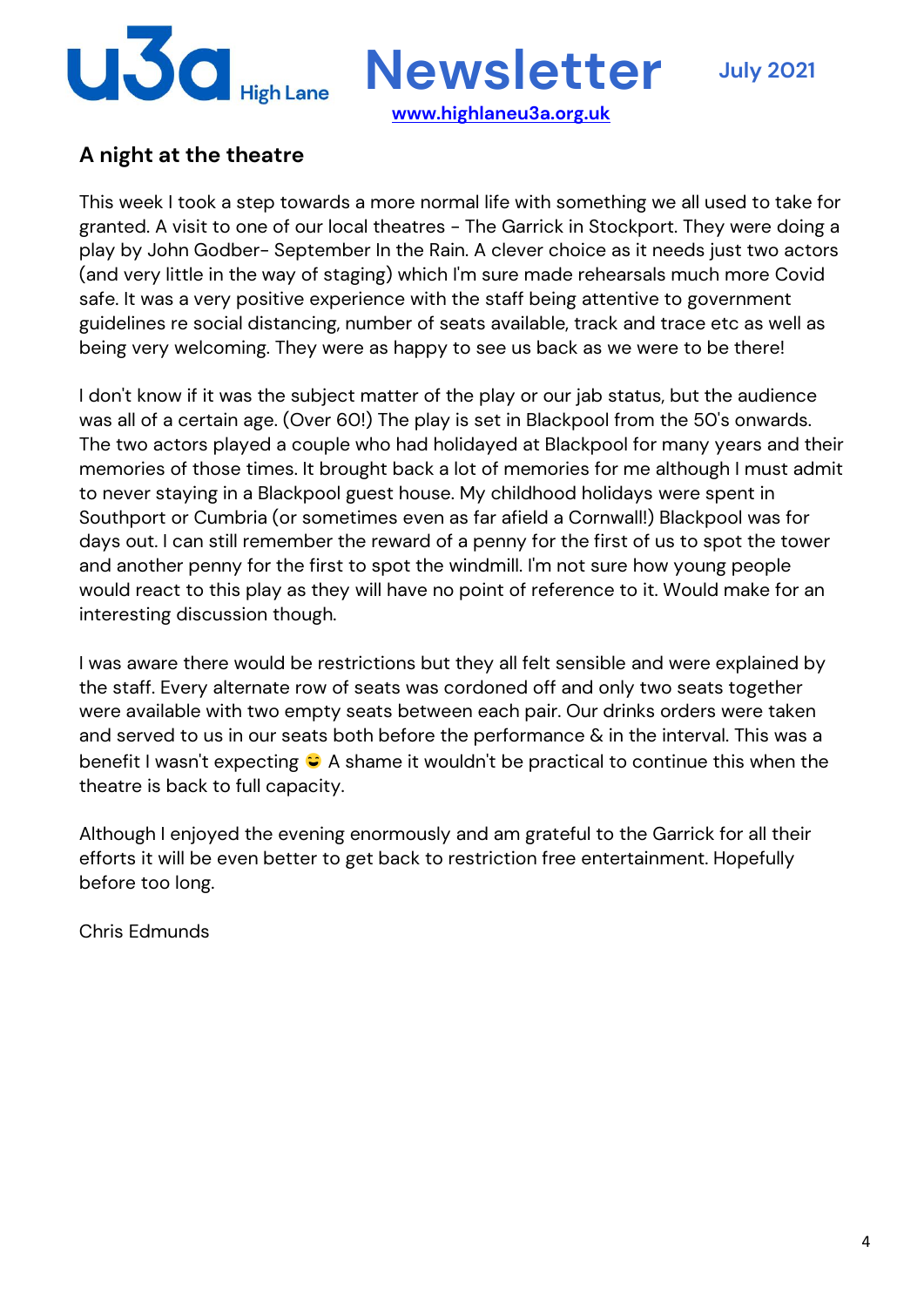

# **A night at the theatre**

This week I took a step towards a more normal life with something we all used to take for granted. A visit to one of our local theatres - The Garrick in Stockport. They were doing a play by John Godber- September In the Rain. A clever choice as it needs just two actors (and very little in the way of staging) which I'm sure made rehearsals much more Covid safe. It was a very positive experience with the staff being attentive to government guidelines re social distancing, number of seats available, track and trace etc as well as being very welcoming. They were as happy to see us back as we were to be there!

I don't know if it was the subject matter of the play or our jab status, but the audience was all of a certain age. (Over 60!) The play is set in Blackpool from the 50's onwards. The two actors played a couple who had holidayed at Blackpool for many years and their memories of those times. It brought back a lot of memories for me although I must admit to never staying in a Blackpool guest house. My childhood holidays were spent in Southport or Cumbria (or sometimes even as far afield a Cornwall!) Blackpool was for days out. I can still remember the reward of a penny for the first of us to spot the tower and another penny for the first to spot the windmill. I'm not sure how young people would react to this play as they will have no point of reference to it. Would make for an interesting discussion though.

I was aware there would be restrictions but they all felt sensible and were explained by the staff. Every alternate row of seats was cordoned off and only two seats together were available with two empty seats between each pair. Our drinks orders were taken and served to us in our seats both before the performance & in the interval. This was a benefit I wasn't expecting  $\bigcirc$  A shame it wouldn't be practical to continue this when the theatre is back to full capacity.

Although I enjoyed the evening enormously and am grateful to the Garrick for all their efforts it will be even better to get back to restriction free entertainment. Hopefully before too long.

Chris Edmunds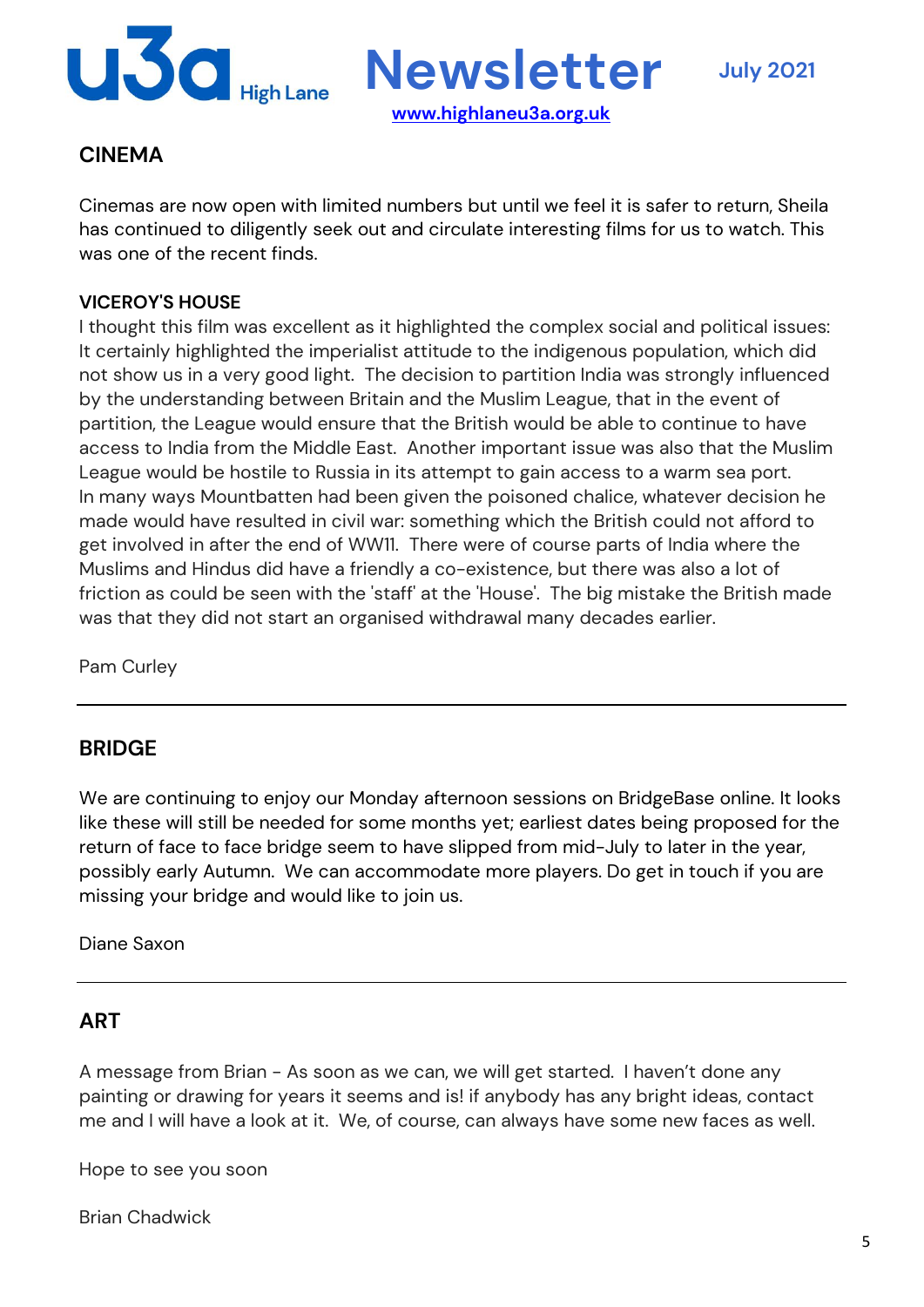

## **CINEMA**

Cinemas are now open with limited numbers but until we feel it is safer to return, Sheila has continued to diligently seek out and circulate interesting films for us to watch. This was one of the recent finds.

**www.highlaneu3a.org.uk**

### **VICEROY'S HOUSE**

I thought this film was excellent as it highlighted the complex social and political issues: It certainly highlighted the imperialist attitude to the indigenous population, which did not show us in a very good light. The decision to partition India was strongly influenced by the understanding between Britain and the Muslim League, that in the event of partition, the League would ensure that the British would be able to continue to have access to India from the Middle East. Another important issue was also that the Muslim League would be hostile to Russia in its attempt to gain access to a warm sea port. In many ways Mountbatten had been given the poisoned chalice, whatever decision he made would have resulted in civil war: something which the British could not afford to get involved in after the end of WW11. There were of course parts of India where the Muslims and Hindus did have a friendly a co-existence, but there was also a lot of friction as could be seen with the 'staff' at the 'House'. The big mistake the British made was that they did not start an organised withdrawal many decades earlier.

Pam Curley

## **BRIDGE**

We are continuing to enjoy our Monday afternoon sessions on BridgeBase online. It looks like these will still be needed for some months yet; earliest dates being proposed for the return of face to face bridge seem to have slipped from mid-July to later in the year, possibly early Autumn. We can accommodate more players. Do get in touch if you are missing your bridge and would like to join us.

Diane Saxon

### **ART**

A message from Brian - As soon as we can, we will get started. I haven't done any painting or drawing for years it seems and is! if anybody has any bright ideas, contact me and I will have a look at it. We, of course, can always have some new faces as well.

Hope to see you soon

Brian Chadwick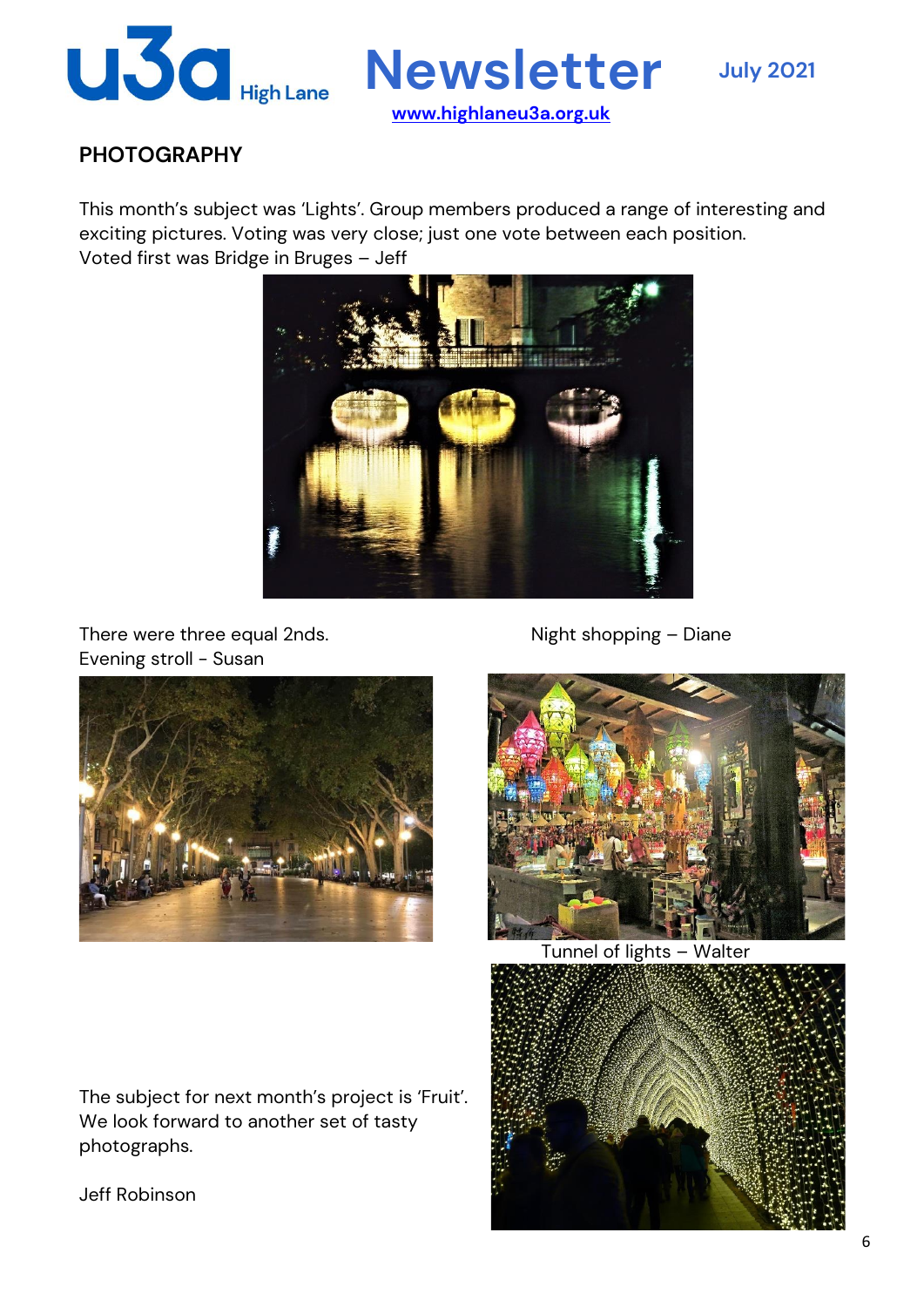

# **PHOTOGRAPHY**

This month's subject was 'Lights'. Group members produced a range of interesting and exciting pictures. Voting was very close; just one vote between each position. Voted first was Bridge in Bruges – Jeff



There were three equal 2nds. There were three equal 2nds. Evening stroll - Susan



The subject for next month's project is 'Fruit'.

We look forward to another set of tasty



Tunnel of lights – Walter



Jeff Robinson

photographs.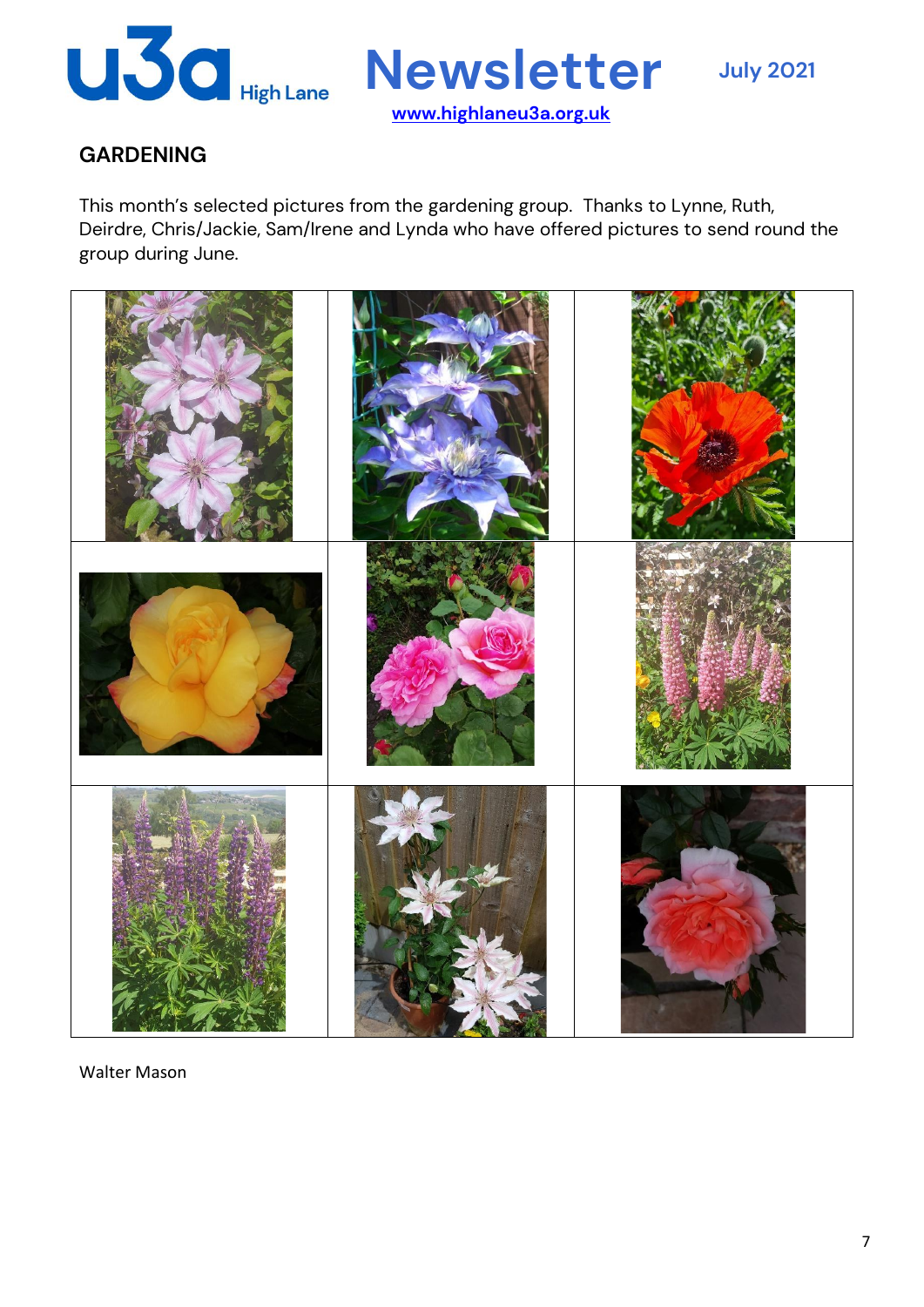

# **GARDENING**

This month's selected pictures from the gardening group. Thanks to Lynne, Ruth, Deirdre, Chris/Jackie, Sam/Irene and Lynda who have offered pictures to send round the group during June.



Walter Mason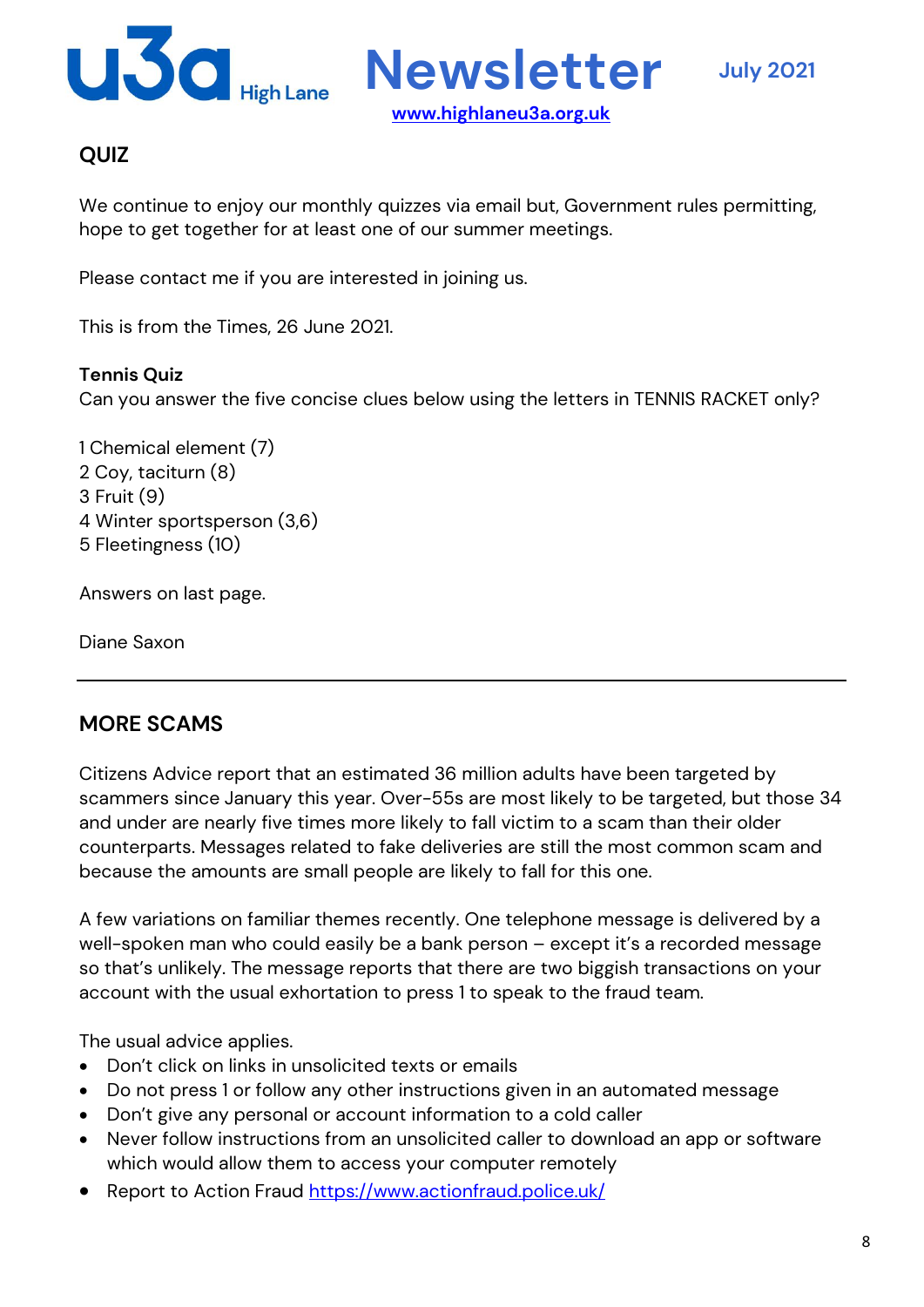

# **QUIZ**

We continue to enjoy our monthly quizzes via email but, Government rules permitting, hope to get together for at least one of our summer meetings.

**www.highlaneu3a.org.uk**

Please contact me if you are interested in joining us.

This is from the Times, 26 June 2021.

#### **Tennis Quiz**

Can you answer the five concise clues below using the letters in TENNIS RACKET only?

1 Chemical element (7) 2 Coy, taciturn (8) 3 Fruit (9) 4 Winter sportsperson (3,6) 5 Fleetingness (10)

Answers on last page.

Diane Saxon

## **MORE SCAMS**

Citizens Advice report that an estimated 36 million adults have been targeted by scammers since January this year. Over-55s are most likely to be targeted, but those 34 and under are nearly five times more likely to fall victim to a scam than their older counterparts. Messages related to fake deliveries are still the most common scam and because the amounts are small people are likely to fall for this one.

A few variations on familiar themes recently. One telephone message is delivered by a well-spoken man who could easily be a bank person – except it's a recorded message so that's unlikely. The message reports that there are two biggish transactions on your account with the usual exhortation to press 1 to speak to the fraud team.

The usual advice applies.

- Don't click on links in unsolicited texts or emails
- Do not press 1 or follow any other instructions given in an automated message
- Don't give any personal or account information to a cold caller
- Never follow instructions from an unsolicited caller to download an app or software which would allow them to access your computer remotely
- Report to Action Fraud https://www.actionfraud.police.uk/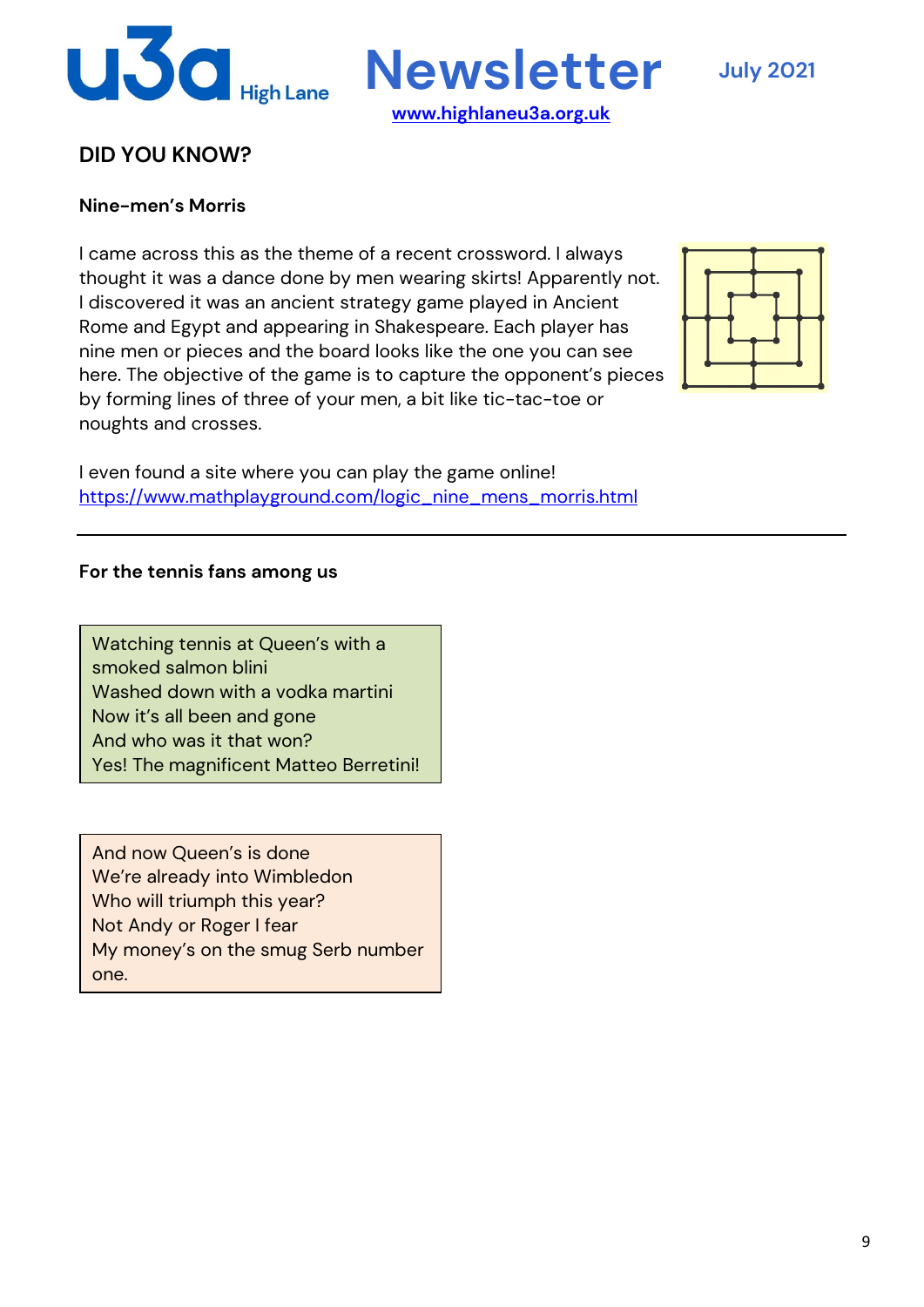

**Newsletter July <sup>2021</sup>**

## **DID YOU KNOW?**

#### **Nine-men's Morris**

I came across this as the theme of a recent crossword. I always thought it was a dance done by men wearing skirts! Apparently not. I discovered it was an ancient strategy game played in Ancient Rome and Egypt and appearing in Shakespeare. Each player has nine men or pieces and the board looks like the one you can see here. The objective of the game is to capture the opponent's pieces by forming lines of three of your men, a bit like tic-tac-toe or noughts and crosses.

I even found a site where you can play the game online! https://www.mathplayground.com/logic\_nine\_mens\_morris.html

#### **For the tennis fans among us**

Watching tennis at Queen's with a smoked salmon blini Washed down with a vodka martini Now it's all been and gone And who was it that won? Yes! The magnificent Matteo Berretini!

And now Queen's is done We're already into Wimbledon Who will triumph this year? Not Andy or Roger I fear My money's on the smug Serb number one.